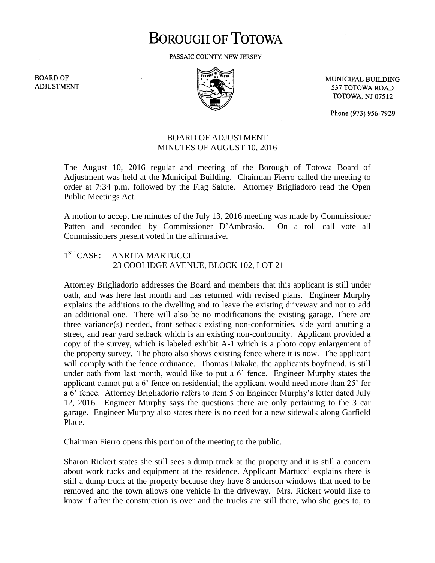## **BOROUGH OF TOTOWA**

PASSAIC COUNTY, NEW JERSEY

**BOARD OF ADJUSTMENT** 



MUNICIPAL BUILDING 537 TOTOWA ROAD **TOTOWA, NJ 07512** 

Phone (973) 956-7929

## BOARD OF ADJUSTMENT MINUTES OF AUGUST 10, 2016

The August 10, 2016 regular and meeting of the Borough of Totowa Board of Adjustment was held at the Municipal Building. Chairman Fierro called the meeting to order at 7:34 p.m. followed by the Flag Salute. Attorney Brigliadoro read the Open Public Meetings Act.

A motion to accept the minutes of the July 13, 2016 meeting was made by Commissioner Patten and seconded by Commissioner D'Ambrosio. On a roll call vote all Commissioners present voted in the affirmative.

 $1^{ST}$  CASE: ANRITA MARTUCCI 23 COOLIDGE AVENUE, BLOCK 102, LOT 21

Attorney Brigliadorio addresses the Board and members that this applicant is still under oath, and was here last month and has returned with revised plans. Engineer Murphy explains the additions to the dwelling and to leave the existing driveway and not to add an additional one. There will also be no modifications the existing garage. There are three variance(s) needed, front setback existing non-conformities, side yard abutting a street, and rear yard setback which is an existing non-conformity. Applicant provided a copy of the survey, which is labeled exhibit A-1 which is a photo copy enlargement of the property survey. The photo also shows existing fence where it is now. The applicant will comply with the fence ordinance. Thomas Dakake, the applicants boyfriend, is still under oath from last month, would like to put a 6' fence. Engineer Murphy states the applicant cannot put a 6' fence on residential; the applicant would need more than 25' for a 6' fence. Attorney Brigliadorio refers to item 5 on Engineer Murphy's letter dated July 12, 2016. Engineer Murphy says the questions there are only pertaining to the 3 car garage. Engineer Murphy also states there is no need for a new sidewalk along Garfield Place.

Chairman Fierro opens this portion of the meeting to the public.

Sharon Rickert states she still sees a dump truck at the property and it is still a concern about work tucks and equipment at the residence. Applicant Martucci explains there is still a dump truck at the property because they have 8 anderson windows that need to be removed and the town allows one vehicle in the driveway. Mrs. Rickert would like to know if after the construction is over and the trucks are still there, who she goes to, to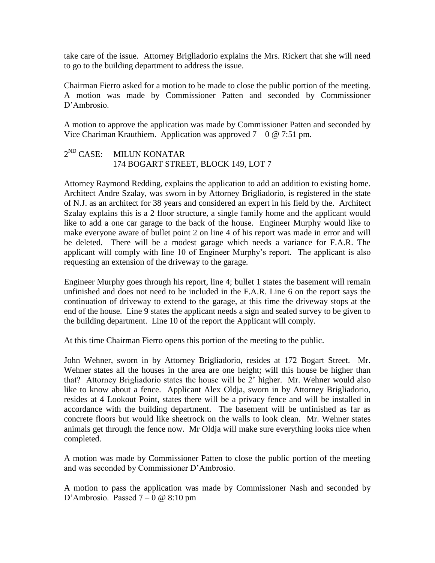take care of the issue. Attorney Brigliadorio explains the Mrs. Rickert that she will need to go to the building department to address the issue.

Chairman Fierro asked for a motion to be made to close the public portion of the meeting. A motion was made by Commissioner Patten and seconded by Commissioner D'Ambrosio.

A motion to approve the application was made by Commissioner Patten and seconded by Vice Chariman Krauthiem. Application was approved  $7 - 0 \omega$  7:51 pm.

## 2<sup>ND</sup> CASE: MILUN KONATAR 174 BOGART STREET, BLOCK 149, LOT 7

Attorney Raymond Redding, explains the application to add an addition to existing home. Architect Andre Szalay, was sworn in by Attorney Brigliadorio, is registered in the state of N.J. as an architect for 38 years and considered an expert in his field by the. Architect Szalay explains this is a 2 floor structure, a single family home and the applicant would like to add a one car garage to the back of the house. Engineer Murphy would like to make everyone aware of bullet point 2 on line 4 of his report was made in error and will be deleted. There will be a modest garage which needs a variance for F.A.R. The applicant will comply with line 10 of Engineer Murphy's report. The applicant is also requesting an extension of the driveway to the garage.

Engineer Murphy goes through his report, line 4; bullet 1 states the basement will remain unfinished and does not need to be included in the F.A.R. Line 6 on the report says the continuation of driveway to extend to the garage, at this time the driveway stops at the end of the house. Line 9 states the applicant needs a sign and sealed survey to be given to the building department. Line 10 of the report the Applicant will comply.

At this time Chairman Fierro opens this portion of the meeting to the public.

John Wehner, sworn in by Attorney Brigliadorio, resides at 172 Bogart Street. Mr. Wehner states all the houses in the area are one height; will this house be higher than that? Attorney Brigliadorio states the house will be 2' higher. Mr. Wehner would also like to know about a fence. Applicant Alex Oldja, sworn in by Attorney Brigliadorio, resides at 4 Lookout Point, states there will be a privacy fence and will be installed in accordance with the building department. The basement will be unfinished as far as concrete floors but would like sheetrock on the walls to look clean. Mr. Wehner states animals get through the fence now. Mr Oldja will make sure everything looks nice when completed.

A motion was made by Commissioner Patten to close the public portion of the meeting and was seconded by Commissioner D'Ambrosio.

A motion to pass the application was made by Commissioner Nash and seconded by D'Ambrosio. Passed  $7 - 0$  @ 8:10 pm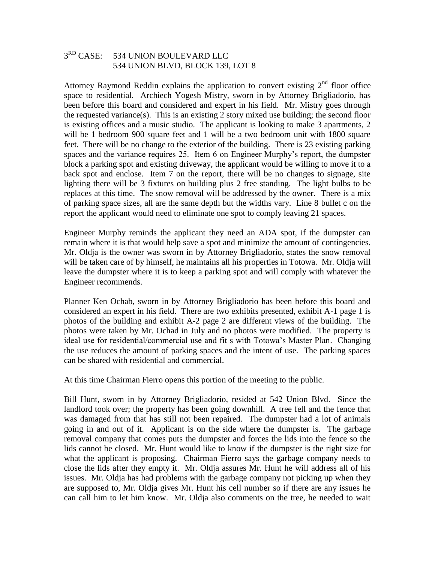## 3<sup>RD</sup> CASE: 534 UNION BOULEVARD LLC 534 UNION BLVD, BLOCK 139, LOT 8

Attorney Raymond Reddin explains the application to convert existing  $2<sup>nd</sup>$  floor office space to residential. Archiech Yogesh Mistry, sworn in by Attorney Brigliadorio, has been before this board and considered and expert in his field. Mr. Mistry goes through the requested variance(s). This is an existing 2 story mixed use building; the second floor is existing offices and a music studio. The applicant is looking to make 3 apartments, 2 will be 1 bedroom 900 square feet and 1 will be a two bedroom unit with 1800 square feet. There will be no change to the exterior of the building. There is 23 existing parking spaces and the variance requires 25. Item 6 on Engineer Murphy's report, the dumpster block a parking spot and existing driveway, the applicant would be willing to move it to a back spot and enclose. Item 7 on the report, there will be no changes to signage, site lighting there will be 3 fixtures on building plus 2 free standing. The light bulbs to be replaces at this time. The snow removal will be addressed by the owner. There is a mix of parking space sizes, all are the same depth but the widths vary. Line 8 bullet c on the report the applicant would need to eliminate one spot to comply leaving 21 spaces.

Engineer Murphy reminds the applicant they need an ADA spot, if the dumpster can remain where it is that would help save a spot and minimize the amount of contingencies. Mr. Oldja is the owner was sworn in by Attorney Brigliadorio, states the snow removal will be taken care of by himself, he maintains all his properties in Totowa. Mr. Oldja will leave the dumpster where it is to keep a parking spot and will comply with whatever the Engineer recommends.

Planner Ken Ochab, sworn in by Attorney Brigliadorio has been before this board and considered an expert in his field. There are two exhibits presented, exhibit A-1 page 1 is photos of the building and exhibit A-2 page 2 are different views of the building. The photos were taken by Mr. Ochad in July and no photos were modified. The property is ideal use for residential/commercial use and fit s with Totowa's Master Plan. Changing the use reduces the amount of parking spaces and the intent of use. The parking spaces can be shared with residential and commercial.

At this time Chairman Fierro opens this portion of the meeting to the public.

Bill Hunt, sworn in by Attorney Brigliadorio, resided at 542 Union Blvd. Since the landlord took over; the property has been going downhill. A tree fell and the fence that was damaged from that has still not been repaired. The dumpster had a lot of animals going in and out of it. Applicant is on the side where the dumpster is. The garbage removal company that comes puts the dumpster and forces the lids into the fence so the lids cannot be closed. Mr. Hunt would like to know if the dumpster is the right size for what the applicant is proposing. Chairman Fierro says the garbage company needs to close the lids after they empty it. Mr. Oldja assures Mr. Hunt he will address all of his issues. Mr. Oldja has had problems with the garbage company not picking up when they are supposed to, Mr. Oldja gives Mr. Hunt his cell number so if there are any issues he can call him to let him know. Mr. Oldja also comments on the tree, he needed to wait